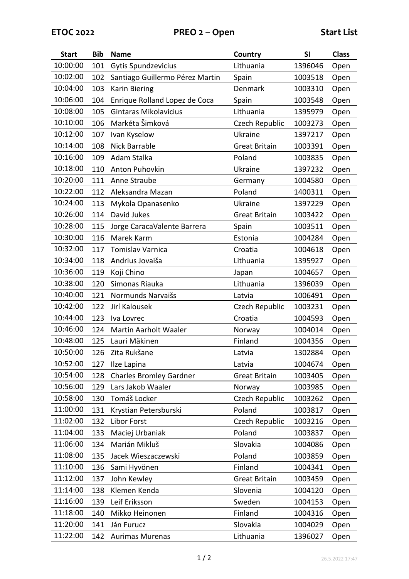| <b>Start</b> | <b>Bib</b> | <b>Name</b>                     | Country              | SI      | <b>Class</b> |
|--------------|------------|---------------------------------|----------------------|---------|--------------|
| 10:00:00     | 101        | Gytis Spundzevicius             | Lithuania            | 1396046 | Open         |
| 10:02:00     | 102        | Santiago Guillermo Pérez Martin | Spain                | 1003518 | Open         |
| 10:04:00     | 103        | <b>Karin Biering</b>            | Denmark              | 1003310 | Open         |
| 10:06:00     | 104        | Enrique Rolland Lopez de Coca   | Spain                | 1003548 | Open         |
| 10:08:00     | 105        | Gintaras Mikolavicius           | Lithuania            | 1395979 | Open         |
| 10:10:00     | 106        | Markéta Šimková                 | Czech Republic       | 1003273 | Open         |
| 10:12:00     | 107        | Ivan Kyselow                    | Ukraine              | 1397217 | Open         |
| 10:14:00     | 108        | <b>Nick Barrable</b>            | <b>Great Britain</b> | 1003391 | Open         |
| 10:16:00     | 109        | Adam Stalka                     | Poland               | 1003835 | Open         |
| 10:18:00     | 110        | Anton Puhovkin                  | Ukraine              | 1397232 | Open         |
| 10:20:00     | 111        | Anne Straube                    | Germany              | 1004580 | Open         |
| 10:22:00     | 112        | Aleksandra Mazan                | Poland               | 1400311 | Open         |
| 10:24:00     | 113        | Mykola Opanasenko               | Ukraine              | 1397229 | Open         |
| 10:26:00     | 114        | David Jukes                     | <b>Great Britain</b> | 1003422 | Open         |
| 10:28:00     | 115        | Jorge CaracaValente Barrera     | Spain                | 1003511 | Open         |
| 10:30:00     | 116        | Marek Karm                      | Estonia              | 1004284 | Open         |
| 10:32:00     | 117        | <b>Tomislav Varnica</b>         | Croatia              | 1004618 | Open         |
| 10:34:00     | 118        | Andrius Jovaiša                 | Lithuania            | 1395927 | Open         |
| 10:36:00     | 119        | Koji Chino                      | Japan                | 1004657 | Open         |
| 10:38:00     | 120        | Simonas Riauka                  | Lithuania            | 1396039 | Open         |
| 10:40:00     | 121        | Normunds Narvaišs               | Latvia               | 1006491 | Open         |
| 10:42:00     | 122        | Jirí Kalousek                   | Czech Republic       | 1003231 | Open         |
| 10:44:00     | 123        | Iva Lovrec                      | Croatia              | 1004593 | Open         |
| 10:46:00     | 124        | Martin Aarholt Waaler           | Norway               | 1004014 | Open         |
| 10:48:00     | 125        | Lauri Mäkinen                   | Finland              | 1004356 | Open         |
| 10:50:00     | 126        | Zita Rukšane                    | Latvia               | 1302884 | Open         |
| 10:52:00     | 127        | Ilze Lapina                     | Latvia               | 1004674 | Open         |
| 10:54:00     | 128        | <b>Charles Bromley Gardner</b>  | <b>Great Britain</b> | 1003405 | Open         |
| 10:56:00     | 129        | Lars Jakob Waaler               | Norway               | 1003985 | Open         |
| 10:58:00     | 130        | Tomáš Locker                    | Czech Republic       | 1003262 | Open         |
| 11:00:00     | 131        | Krystian Petersburski           | Poland               | 1003817 | Open         |
| 11:02:00     | 132        | Libor Forst                     | Czech Republic       | 1003216 | Open         |
| 11:04:00     | 133        | Maciej Urbaniak                 | Poland               | 1003837 | Open         |
| 11:06:00     | 134        | Marián Mikluš                   | Slovakia             | 1004086 | Open         |
| 11:08:00     | 135        | Jacek Wieszaczewski             | Poland               | 1003859 | Open         |
| 11:10:00     | 136        | Sami Hyvönen                    | Finland              | 1004341 | Open         |
| 11:12:00     | 137        | John Kewley                     | <b>Great Britain</b> | 1003459 | Open         |
| 11:14:00     | 138        | Klemen Kenda                    | Slovenia             | 1004120 | Open         |
| 11:16:00     | 139        | Leif Eriksson                   | Sweden               | 1004153 | Open         |
| 11:18:00     | 140        | Mikko Heinonen                  | Finland              | 1004316 | Open         |
| 11:20:00     | 141        | Ján Furucz                      | Slovakia             | 1004029 | Open         |
| 11:22:00     | 142        | <b>Aurimas Murenas</b>          | Lithuania            | 1396027 | Open         |